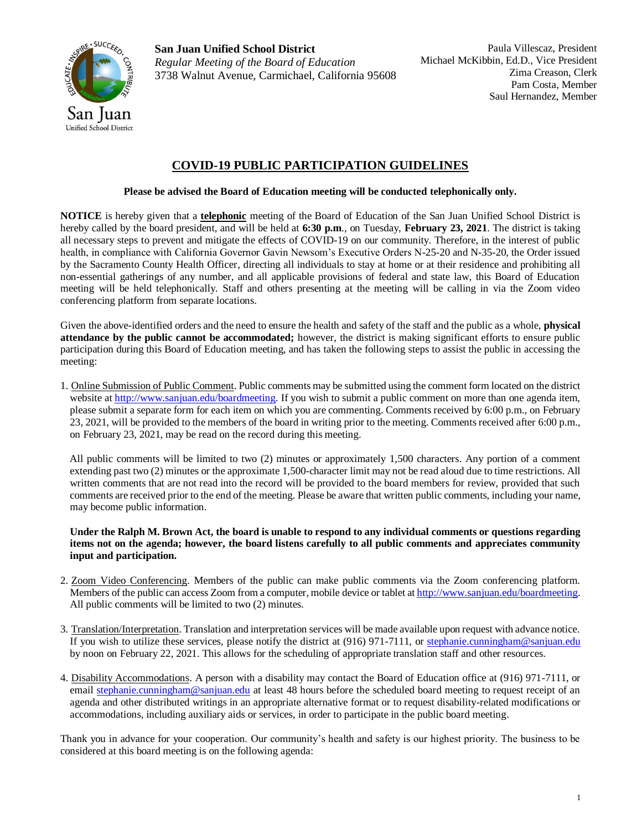

**San Juan Unified School District** *Regular Meeting of the Board of Education* 3738 Walnut Avenue, Carmichael, California 95608

# **COVID-19 PUBLIC PARTICIPATION GUIDELINES**

# **Please be advised the Board of Education meeting will be conducted telephonically only.**

**NOTICE** is hereby given that a **telephonic** meeting of the Board of Education of the San Juan Unified School District is hereby called by the board president, and will be held at **6:30 p.m**., on Tuesday, **February 23, 2021**. The district is taking all necessary steps to prevent and mitigate the effects of COVID-19 on our community. Therefore, in the interest of public health, in compliance with California Governor Gavin Newsom's Executive Orders N-25-20 and N-35-20, the Order issued by the Sacramento County Health Officer, directing all individuals to stay at home or at their residence and prohibiting all non-essential gatherings of any number, and all applicable provisions of federal and state law, this Board of Education meeting will be held telephonically. Staff and others presenting at the meeting will be calling in via the Zoom video conferencing platform from separate locations.

Given the above-identified orders and the need to ensure the health and safety of the staff and the public as a whole, **physical attendance by the public cannot be accommodated;** however, the district is making significant efforts to ensure public participation during this Board of Education meeting, and has taken the following steps to assist the public in accessing the meeting:

1. Online Submission of Public Comment. Public comments may be submitted using the comment form located on the district website a[t http://www.sanjuan.edu/boardmeeting.](http://www.sanjuan.edu/boardmeeting) If you wish to submit a public comment on more than one agenda item, please submit a separate form for each item on which you are commenting. Comments received by 6:00 p.m., on February 23, 2021, will be provided to the members of the board in writing prior to the meeting. Comments received after 6:00 p.m., on February 23, 2021, may be read on the record during this meeting.

All public comments will be limited to two (2) minutes or approximately 1,500 characters. Any portion of a comment extending past two (2) minutes or the approximate 1,500-character limit may not be read aloud due to time restrictions. All written comments that are not read into the record will be provided to the board members for review, provided that such comments are received prior to the end of the meeting. Please be aware that written public comments, including your name, may become public information.

**Under the Ralph M. Brown Act, the board is unable to respond to any individual comments or questions regarding items not on the agenda; however, the board listens carefully to all public comments and appreciates community input and participation.**

- 2. Zoom Video Conferencing. Members of the public can make public comments via the Zoom conferencing platform. Members of the public can access Zoom from a computer, mobile device or tablet a[t http://www.sanjuan.edu/boardmeeting.](http://www.sanjuan.edu/boardmeeting) All public comments will be limited to two (2) minutes.
- 3. Translation/Interpretation. Translation and interpretation services will be made available upon request with advance notice. If you wish to utilize these services, please notify the district at (916) 971-7111, or [stephanie.cunningham@sanjuan.edu](about:blank) by noon on February 22, 2021. This allows for the scheduling of appropriate translation staff and other resources.
- 4. Disability Accommodations. A person with a disability may contact the Board of Education office at (916) 971-7111, or email stephanie.cunningham@sanjuan.edu at least 48 hours before the scheduled board meeting to request receipt of an agenda and other distributed writings in an appropriate alternative format or to request disability-related modifications or accommodations, including auxiliary aids or services, in order to participate in the public board meeting.

Thank you in advance for your cooperation. Our community's health and safety is our highest priority. The business to be considered at this board meeting is on the following agenda: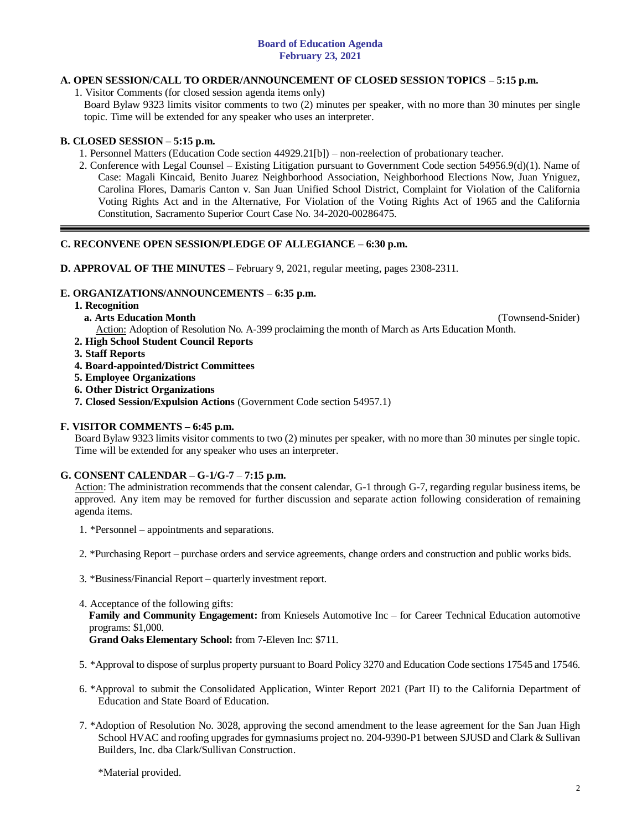### **Board of Education Agenda February 23, 2021**

# **A. OPEN SESSION/CALL TO ORDER/ANNOUNCEMENT OF CLOSED SESSION TOPICS – 5:15 p.m.**

1. Visitor Comments (for closed session agenda items only)

Board Bylaw 9323 limits visitor comments to two (2) minutes per speaker, with no more than 30 minutes per single topic. Time will be extended for any speaker who uses an interpreter.

# **B. CLOSED SESSION – 5:15 p.m.**

1. Personnel Matters (Education Code section 44929.21[b]) – non-reelection of probationary teacher.

2. Conference with Legal Counsel – Existing Litigation pursuant to Government Code section 54956.9(d)(1). Name of Case: Magali Kincaid, Benito Juarez Neighborhood Association, Neighborhood Elections Now, Juan Yniguez, Carolina Flores, Damaris Canton v. San Juan Unified School District, Complaint for Violation of the California Voting Rights Act and in the Alternative, For Violation of the Voting Rights Act of 1965 and the California Constitution, Sacramento Superior Court Case No. 34-2020-00286475.

# **C. RECONVENE OPEN SESSION/PLEDGE OF ALLEGIANCE – 6:30 p.m.**

**D. APPROVAL OF THE MINUTES –** February 9, 2021, regular meeting, pages 2308-2311.

# **E. ORGANIZATIONS/ANNOUNCEMENTS – 6:35 p.m.**

### **1. Recognition**

**a. Arts Education Month** (Townsend-Snider)

- Action: Adoption of Resolution No. A-399 proclaiming the month of March as Arts Education Month. **2. High School Student Council Reports**
- **3. Staff Reports**
- **4. Board-appointed/District Committees**
- **5. Employee Organizations**
- **6. Other District Organizations**
- **7. Closed Session/Expulsion Actions** (Government Code section 54957.1)

### **F. VISITOR COMMENTS – 6:45 p.m.**

Board Bylaw 9323 limits visitor comments to two (2) minutes per speaker, with no more than 30 minutes per single topic. Time will be extended for any speaker who uses an interpreter.

# **G. CONSENT CALENDAR – G-1/G-7** – **7:15 p.m.**

Action: The administration recommends that the consent calendar, G-1 through G-7, regarding regular business items, be approved. Any item may be removed for further discussion and separate action following consideration of remaining agenda items.

- 1. \*Personnel appointments and separations.
- 2. \*Purchasing Report purchase orders and service agreements, change orders and construction and public works bids.
- 3. \*Business/Financial Report quarterly investment report.
- 4. Acceptance of the following gifts:

**Family and Community Engagement:** from Kniesels Automotive Inc – for Career Technical Education automotive programs: \$1,000.

**Grand Oaks Elementary School:** from 7-Eleven Inc: \$711.

- 5. \*Approval to dispose of surplus property pursuant to Board Policy 3270 and Education Code sections 17545 and 17546.
- 6. \*Approval to submit the Consolidated Application, Winter Report 2021 (Part II) to the California Department of Education and State Board of Education.
- 7. \*Adoption of Resolution No. 3028, approving the second amendment to the lease agreement for the San Juan High School HVAC and roofing upgrades for gymnasiums project no. 204-9390-P1 between SJUSD and Clark & Sullivan Builders, Inc. dba Clark/Sullivan Construction.

\*Material provided.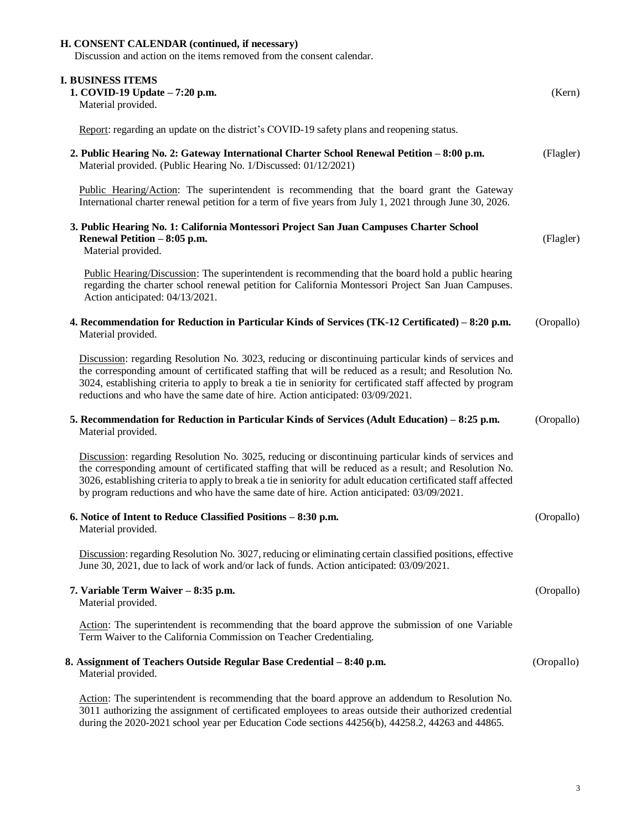# **H. CONSENT CALENDAR (continued, if necessary)** Discussion and action on the items removed from the consent calendar. **I. BUSINESS ITEMS 1. COVID-19 Update – 7:20 p.m.** (Kern) Material provided. Report: regarding an update on the district's COVID-19 safety plans and reopening status. **2. Public Hearing No. 2: Gateway International Charter School Renewal Petition – 8:00 p.m.** (Flagler) Material provided. (Public Hearing No. 1/Discussed: 01/12/2021) Public Hearing/Action: The superintendent is recommending that the board grant the Gateway International charter renewal petition for a term of five years from July 1, 2021 through June 30, 2026. **3. Public Hearing No. 1: California Montessori Project San Juan Campuses Charter School Renewal Petition – 8:05 p.m.** (Flagler) Material provided. Public Hearing/Discussion: The superintendent is recommending that the board hold a public hearing regarding the charter school renewal petition for California Montessori Project San Juan Campuses. Action anticipated: 04/13/2021. **4. Recommendation for Reduction in Particular Kinds of Services (TK-12 Certificated) – 8:20 p.m.** (Oropallo) Material provided. Discussion: regarding Resolution No. 3023, reducing or discontinuing particular kinds of services and the corresponding amount of certificated staffing that will be reduced as a result; and Resolution No. 3024, establishing criteria to apply to break a tie in seniority for certificated staff affected by program reductions and who have the same date of hire. Action anticipated: 03/09/2021. **5. Recommendation for Reduction in Particular Kinds of Services (Adult Education) – 8:25 p.m.** (Oropallo) Material provided. Discussion: regarding Resolution No. 3025, reducing or discontinuing particular kinds of services and the corresponding amount of certificated staffing that will be reduced as a result; and Resolution No. 3026, establishing criteria to apply to break a tie in seniority for adult education certificated staff affected by program reductions and who have the same date of hire. Action anticipated: 03/09/2021. **6. Notice of Intent to Reduce Classified Positions – 8:30 p.m.** (Oropallo) Material provided. Discussion: regarding Resolution No. 3027, reducing or eliminating certain classified positions, effective June 30, 2021, due to lack of work and/or lack of funds. Action anticipated: 03/09/2021. **7. Variable Term Waiver – 8:35 p.m.** (Oropallo) Material provided. Action: The superintendent is recommending that the board approve the submission of one Variable Term Waiver to the California Commission on Teacher Credentialing. **8. Assignment of Teachers Outside Regular Base Credential – 8:40 p.m.** (Oropallo) Material provided. Action: The superintendent is recommending that the board approve an addendum to Resolution No. 3011 authorizing the assignment of certificated employees to areas outside their authorized credential

during the 2020-2021 school year per Education Code sections 44256(b), 44258.2, 44263 and 44865.